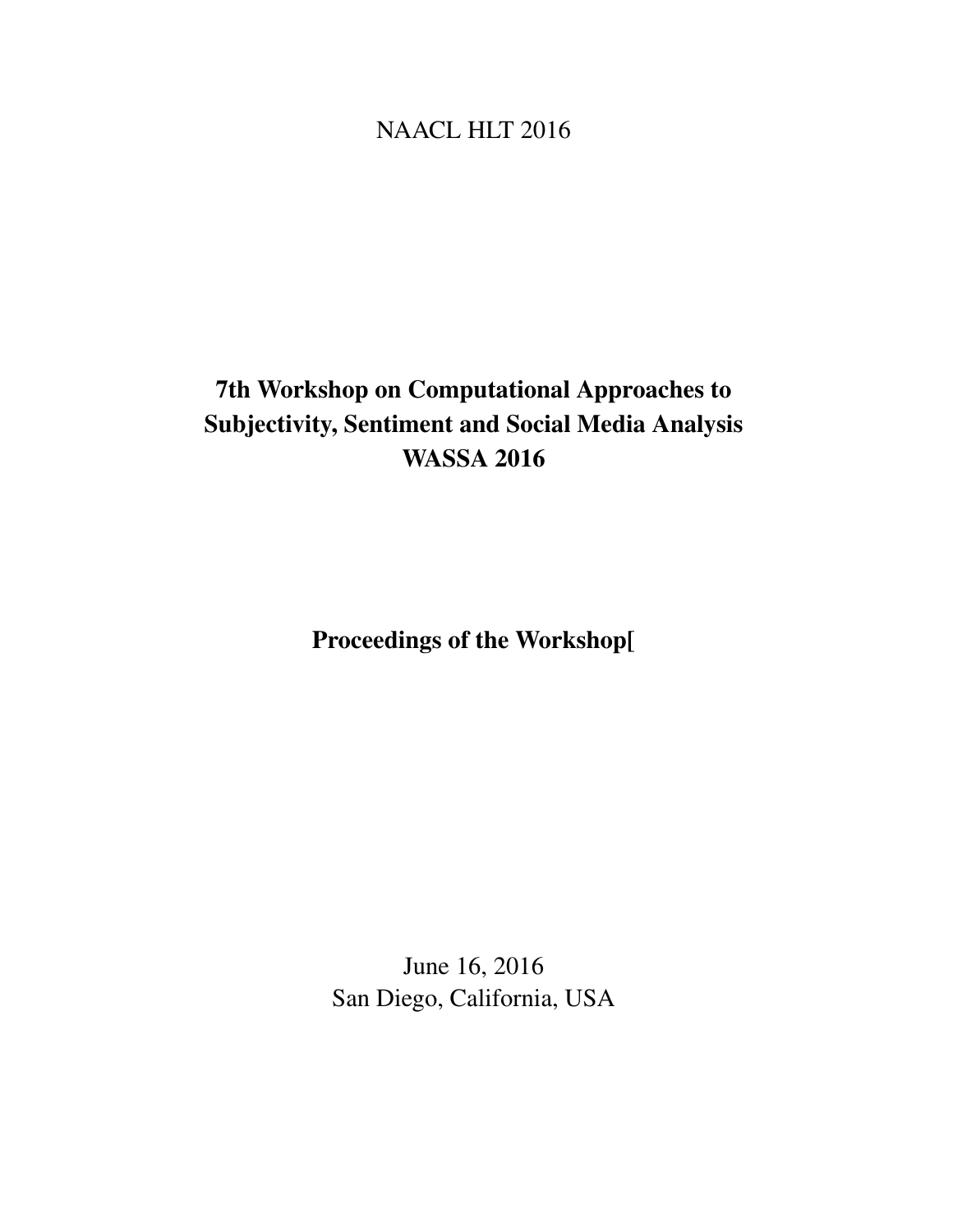## <span id="page-0-0"></span>NAACL HLT 2016

# 7th Workshop on Computational Approaches to Subjectivity, Sentiment and Social Media Analysis WASSA 2016

Proceedings of the Workshop[

June 16, 2016 San Diego, California, USA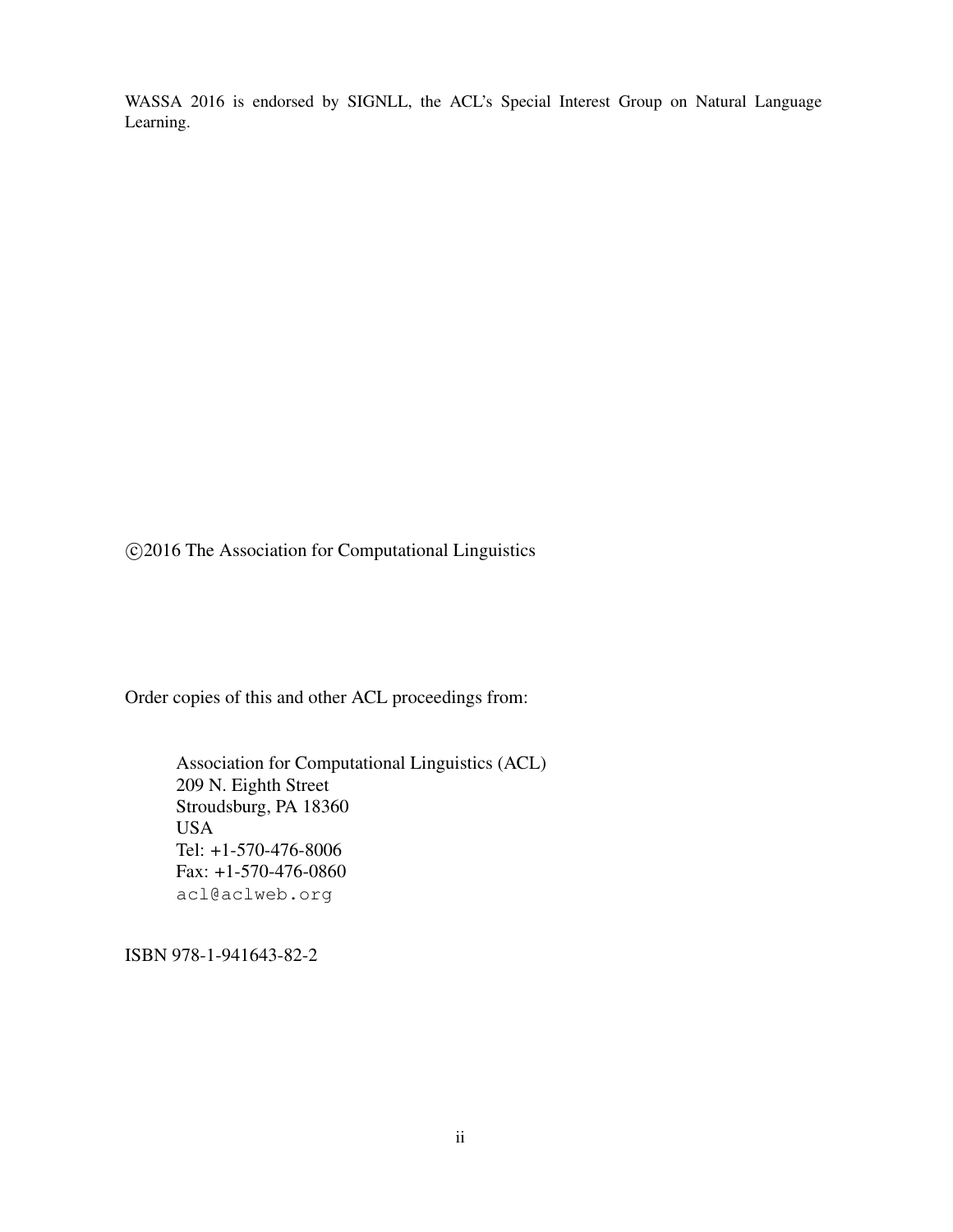WASSA 2016 is endorsed by SIGNLL, the ACL's Special Interest Group on Natural Language Learning.

c 2016 The Association for Computational Linguistics

Order copies of this and other ACL proceedings from:

Association for Computational Linguistics (ACL) 209 N. Eighth Street Stroudsburg, PA 18360 USA Tel: +1-570-476-8006 Fax: +1-570-476-0860 acl@aclweb.org

ISBN 978-1-941643-82-2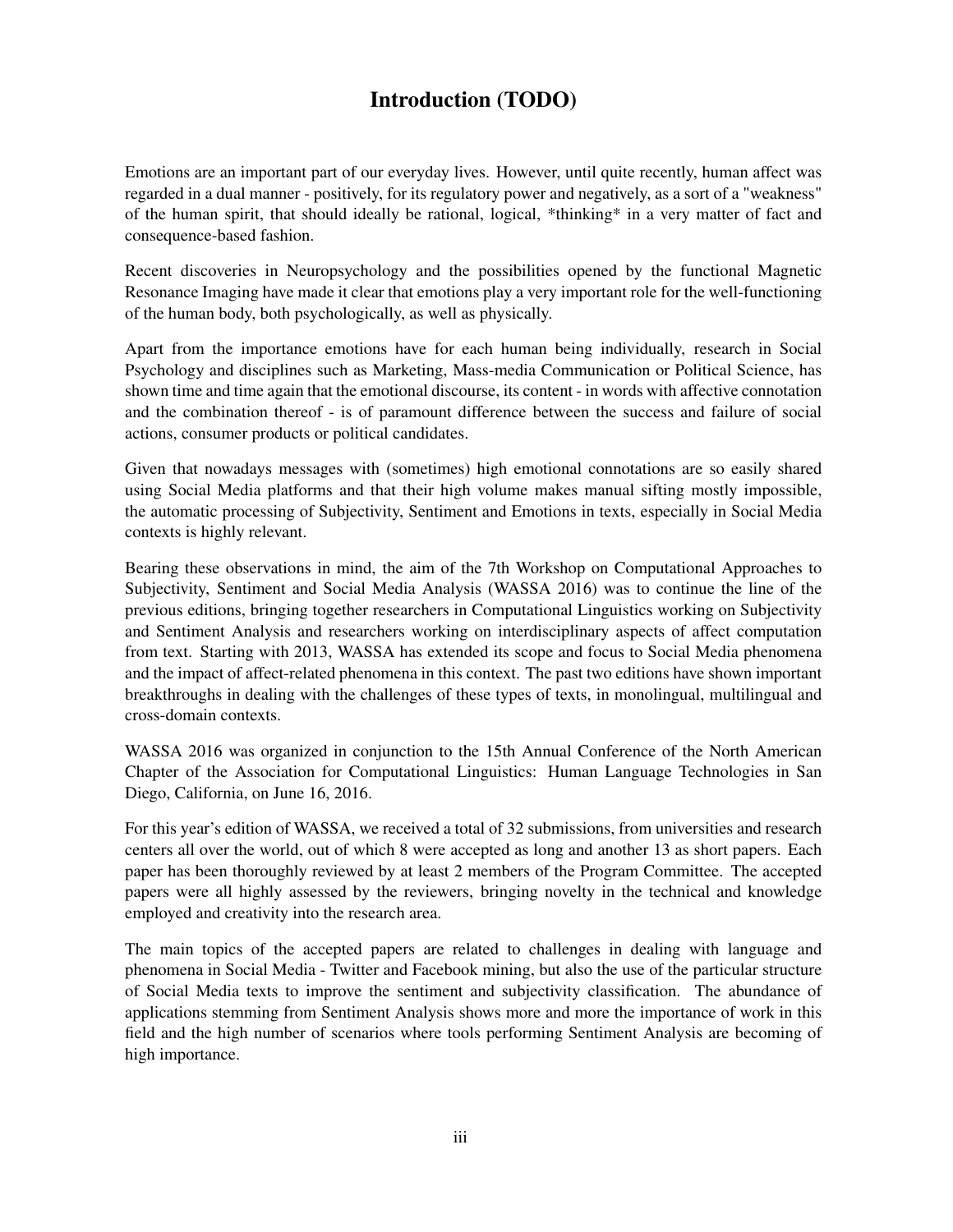## Introduction (TODO)

Emotions are an important part of our everyday lives. However, until quite recently, human affect was regarded in a dual manner - positively, for its regulatory power and negatively, as a sort of a "weakness" of the human spirit, that should ideally be rational, logical, \*thinking\* in a very matter of fact and consequence-based fashion.

Recent discoveries in Neuropsychology and the possibilities opened by the functional Magnetic Resonance Imaging have made it clear that emotions play a very important role for the well-functioning of the human body, both psychologically, as well as physically.

Apart from the importance emotions have for each human being individually, research in Social Psychology and disciplines such as Marketing, Mass-media Communication or Political Science, has shown time and time again that the emotional discourse, its content - in words with affective connotation and the combination thereof - is of paramount difference between the success and failure of social actions, consumer products or political candidates.

Given that nowadays messages with (sometimes) high emotional connotations are so easily shared using Social Media platforms and that their high volume makes manual sifting mostly impossible, the automatic processing of Subjectivity, Sentiment and Emotions in texts, especially in Social Media contexts is highly relevant.

Bearing these observations in mind, the aim of the 7th Workshop on Computational Approaches to Subjectivity, Sentiment and Social Media Analysis (WASSA 2016) was to continue the line of the previous editions, bringing together researchers in Computational Linguistics working on Subjectivity and Sentiment Analysis and researchers working on interdisciplinary aspects of affect computation from text. Starting with 2013, WASSA has extended its scope and focus to Social Media phenomena and the impact of affect-related phenomena in this context. The past two editions have shown important breakthroughs in dealing with the challenges of these types of texts, in monolingual, multilingual and cross-domain contexts.

WASSA 2016 was organized in conjunction to the 15th Annual Conference of the North American Chapter of the Association for Computational Linguistics: Human Language Technologies in San Diego, California, on June 16, 2016.

For this year's edition of WASSA, we received a total of 32 submissions, from universities and research centers all over the world, out of which 8 were accepted as long and another 13 as short papers. Each paper has been thoroughly reviewed by at least 2 members of the Program Committee. The accepted papers were all highly assessed by the reviewers, bringing novelty in the technical and knowledge employed and creativity into the research area.

The main topics of the accepted papers are related to challenges in dealing with language and phenomena in Social Media - Twitter and Facebook mining, but also the use of the particular structure of Social Media texts to improve the sentiment and subjectivity classification. The abundance of applications stemming from Sentiment Analysis shows more and more the importance of work in this field and the high number of scenarios where tools performing Sentiment Analysis are becoming of high importance.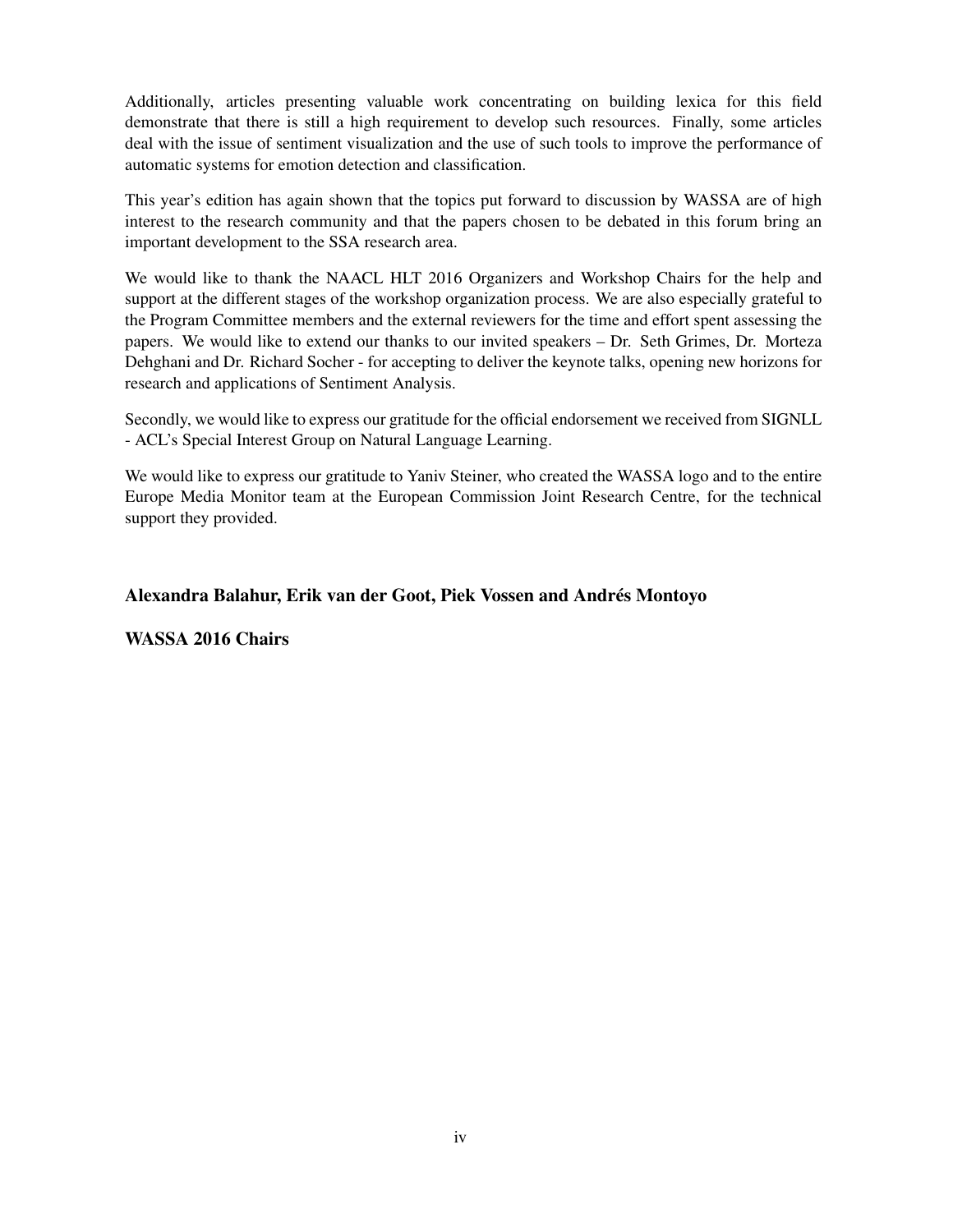Additionally, articles presenting valuable work concentrating on building lexica for this field demonstrate that there is still a high requirement to develop such resources. Finally, some articles deal with the issue of sentiment visualization and the use of such tools to improve the performance of automatic systems for emotion detection and classification.

This year's edition has again shown that the topics put forward to discussion by WASSA are of high interest to the research community and that the papers chosen to be debated in this forum bring an important development to the SSA research area.

We would like to thank the NAACL HLT 2016 Organizers and Workshop Chairs for the help and support at the different stages of the workshop organization process. We are also especially grateful to the Program Committee members and the external reviewers for the time and effort spent assessing the papers. We would like to extend our thanks to our invited speakers – Dr. Seth Grimes, Dr. Morteza Dehghani and Dr. Richard Socher - for accepting to deliver the keynote talks, opening new horizons for research and applications of Sentiment Analysis.

Secondly, we would like to express our gratitude for the official endorsement we received from SIGNLL - ACL's Special Interest Group on Natural Language Learning.

We would like to express our gratitude to Yaniv Steiner, who created the WASSA logo and to the entire Europe Media Monitor team at the European Commission Joint Research Centre, for the technical support they provided.

### Alexandra Balahur, Erik van der Goot, Piek Vossen and Andrés Montoyo

WASSA 2016 Chairs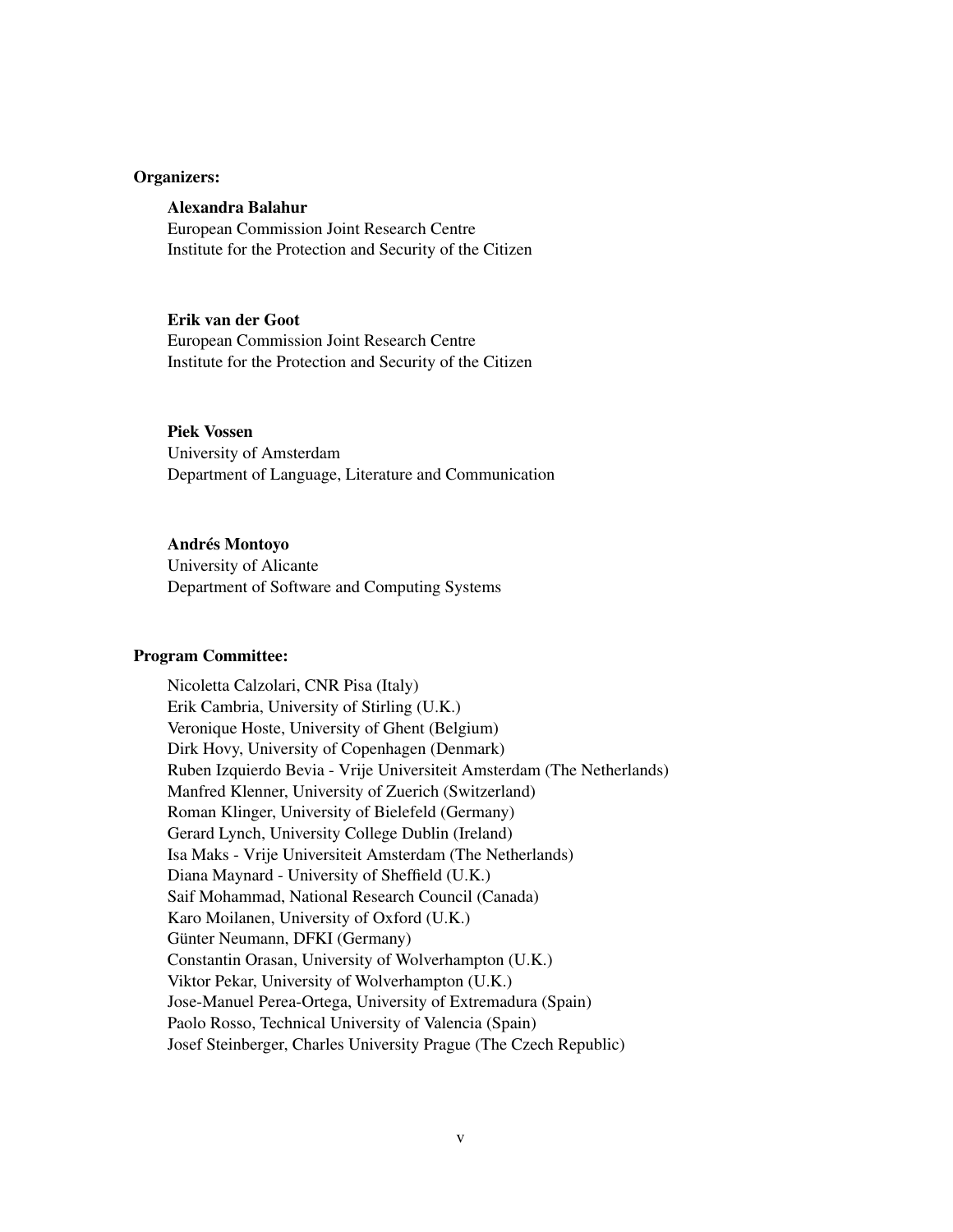### Organizers:

### Alexandra Balahur

European Commission Joint Research Centre Institute for the Protection and Security of the Citizen

### Erik van der Goot

European Commission Joint Research Centre Institute for the Protection and Security of the Citizen

### Piek Vossen

University of Amsterdam Department of Language, Literature and Communication

### Andrés Montoyo

University of Alicante Department of Software and Computing Systems

#### Program Committee:

Nicoletta Calzolari, CNR Pisa (Italy) Erik Cambria, University of Stirling (U.K.) Veronique Hoste, University of Ghent (Belgium) Dirk Hovy, University of Copenhagen (Denmark) Ruben Izquierdo Bevia - Vrije Universiteit Amsterdam (The Netherlands) Manfred Klenner, University of Zuerich (Switzerland) Roman Klinger, University of Bielefeld (Germany) Gerard Lynch, University College Dublin (Ireland) Isa Maks - Vrije Universiteit Amsterdam (The Netherlands) Diana Maynard - University of Sheffield (U.K.) Saif Mohammad, National Research Council (Canada) Karo Moilanen, University of Oxford (U.K.) Günter Neumann, DFKI (Germany) Constantin Orasan, University of Wolverhampton (U.K.) Viktor Pekar, University of Wolverhampton (U.K.) Jose-Manuel Perea-Ortega, University of Extremadura (Spain) Paolo Rosso, Technical University of Valencia (Spain) Josef Steinberger, Charles University Prague (The Czech Republic)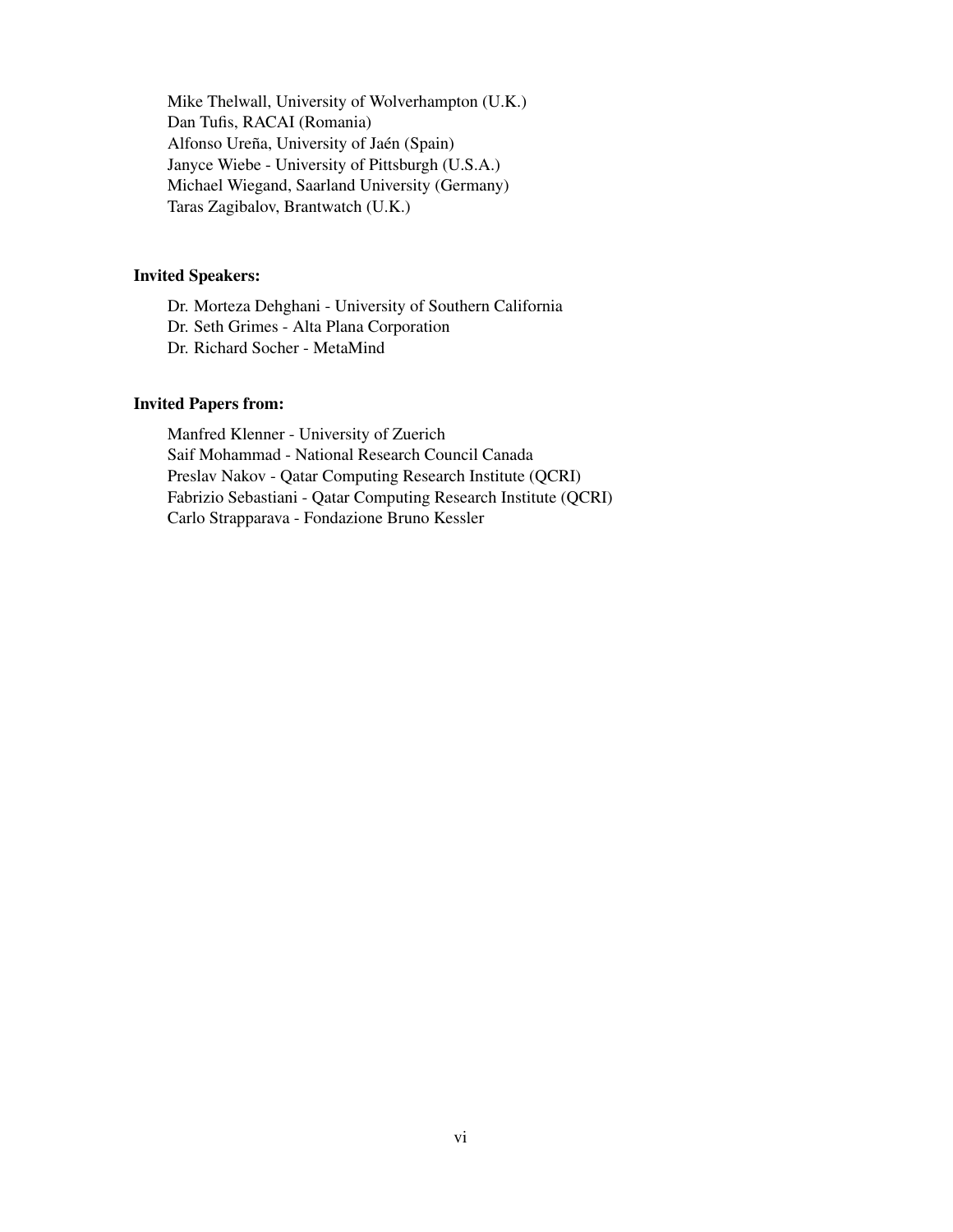Mike Thelwall, University of Wolverhampton (U.K.) Dan Tufis, RACAI (Romania) Alfonso Ureña, University of Jaén (Spain) Janyce Wiebe - University of Pittsburgh (U.S.A.) Michael Wiegand, Saarland University (Germany) Taras Zagibalov, Brantwatch (U.K.)

### Invited Speakers:

Dr. Morteza Dehghani - University of Southern California Dr. Seth Grimes - Alta Plana Corporation Dr. Richard Socher - MetaMind

### Invited Papers from:

Manfred Klenner - University of Zuerich Saif Mohammad - National Research Council Canada Preslav Nakov - Qatar Computing Research Institute (QCRI) Fabrizio Sebastiani - Qatar Computing Research Institute (QCRI) Carlo Strapparava - Fondazione Bruno Kessler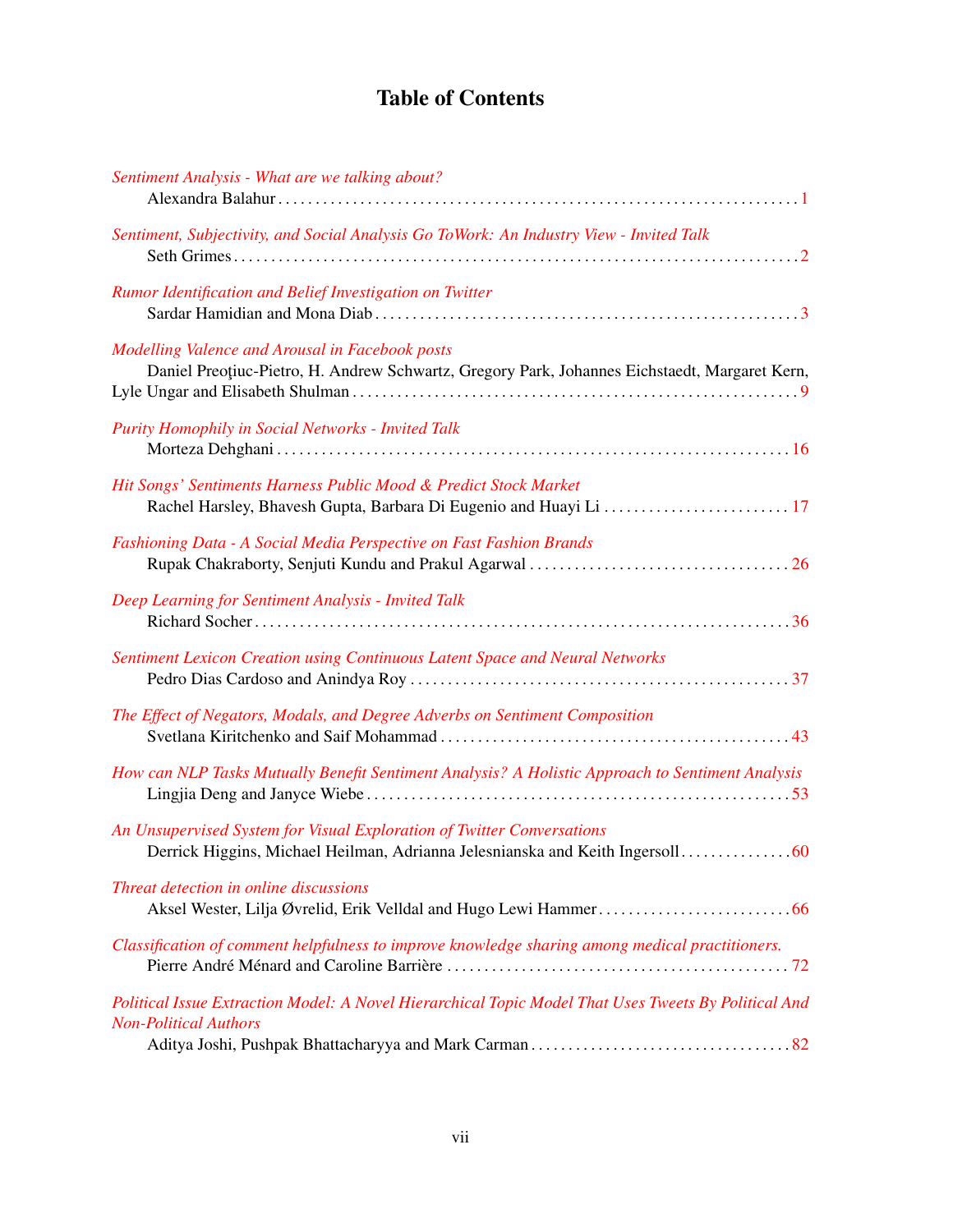## Table of Contents

| Sentiment Analysis - What are we talking about?                                                                                                          |
|----------------------------------------------------------------------------------------------------------------------------------------------------------|
| Sentiment, Subjectivity, and Social Analysis Go ToWork: An Industry View - Invited Talk                                                                  |
| Rumor Identification and Belief Investigation on Twitter                                                                                                 |
| Modelling Valence and Arousal in Facebook posts<br>Daniel Preoțiuc-Pietro, H. Andrew Schwartz, Gregory Park, Johannes Eichstaedt, Margaret Kern,         |
| Purity Homophily in Social Networks - Invited Talk                                                                                                       |
| Hit Songs' Sentiments Harness Public Mood & Predict Stock Market<br>Rachel Harsley, Bhavesh Gupta, Barbara Di Eugenio and Huayi Li  17                   |
| Fashioning Data - A Social Media Perspective on Fast Fashion Brands                                                                                      |
| Deep Learning for Sentiment Analysis - Invited Talk                                                                                                      |
| Sentiment Lexicon Creation using Continuous Latent Space and Neural Networks                                                                             |
| The Effect of Negators, Modals, and Degree Adverbs on Sentiment Composition                                                                              |
| How can NLP Tasks Mutually Benefit Sentiment Analysis? A Holistic Approach to Sentiment Analysis                                                         |
| An Unsupervised System for Visual Exploration of Twitter Conversations<br>Derrick Higgins, Michael Heilman, Adrianna Jelesnianska and Keith Ingersoll 60 |
| Threat detection in online discussions                                                                                                                   |
| Classification of comment helpfulness to improve knowledge sharing among medical practitioners.                                                          |
| Political Issue Extraction Model: A Novel Hierarchical Topic Model That Uses Tweets By Political And<br><b>Non-Political Authors</b>                     |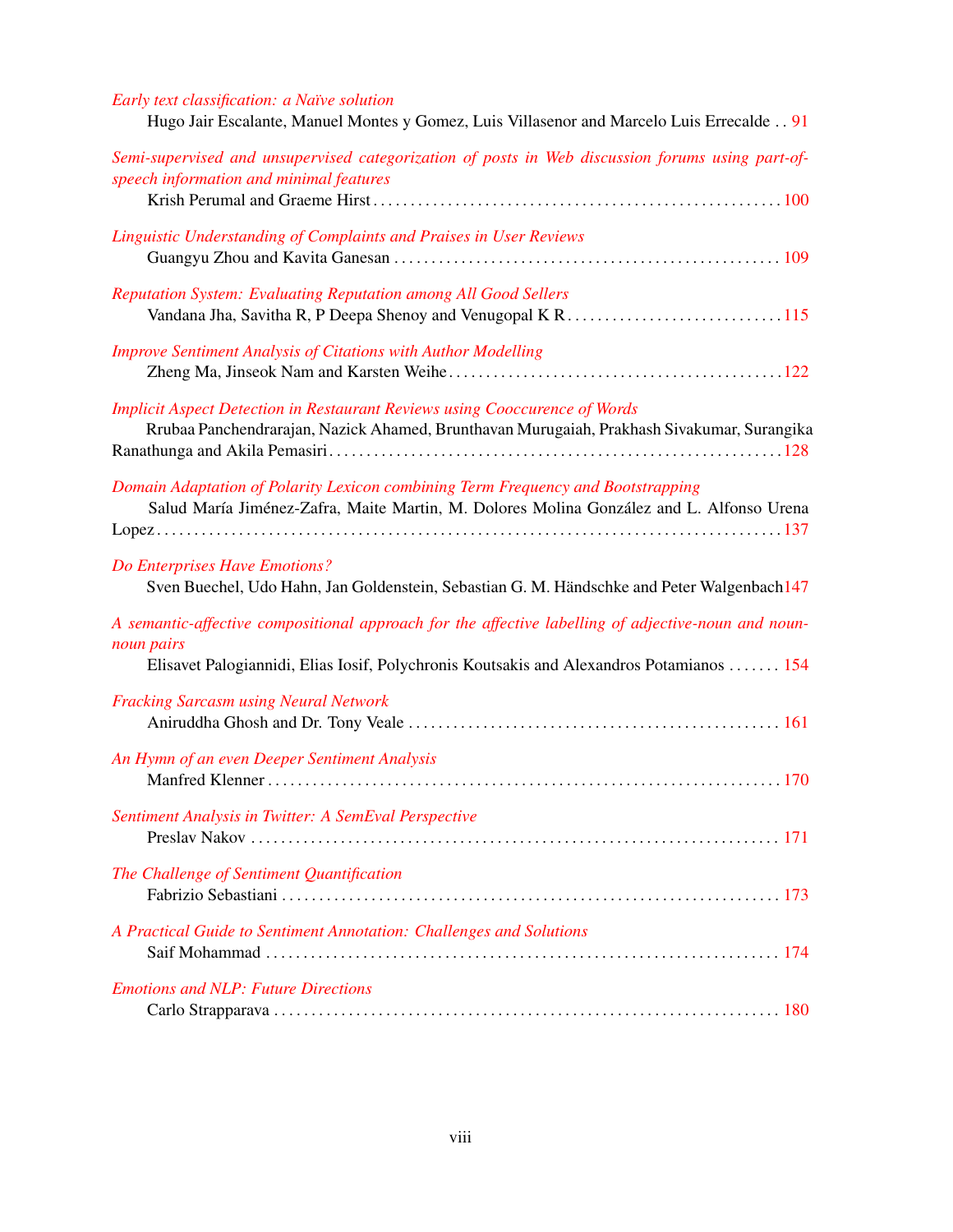| Early text classification: a Naïve solution<br>Hugo Jair Escalante, Manuel Montes y Gomez, Luis Villasenor and Marcelo Luis Errecalde 91                                                                      |
|---------------------------------------------------------------------------------------------------------------------------------------------------------------------------------------------------------------|
| Semi-supervised and unsupervised categorization of posts in Web discussion forums using part-of-<br>speech information and minimal features                                                                   |
| Linguistic Understanding of Complaints and Praises in User Reviews                                                                                                                                            |
| Reputation System: Evaluating Reputation among All Good Sellers                                                                                                                                               |
| <b>Improve Sentiment Analysis of Citations with Author Modelling</b>                                                                                                                                          |
| <b>Implicit Aspect Detection in Restaurant Reviews using Cooccurence of Words</b><br>Rrubaa Panchendrarajan, Nazick Ahamed, Brunthavan Murugaiah, Prakhash Sivakumar, Surangika                               |
| Domain Adaptation of Polarity Lexicon combining Term Frequency and Bootstrapping<br>Salud María Jiménez-Zafra, Maite Martin, M. Dolores Molina González and L. Alfonso Urena                                  |
| Do Enterprises Have Emotions?<br>Sven Buechel, Udo Hahn, Jan Goldenstein, Sebastian G. M. Händschke and Peter Walgenbach147                                                                                   |
| A semantic-affective compositional approach for the affective labelling of adjective-noun and noun-<br>noun pairs<br>Elisavet Palogiannidi, Elias Iosif, Polychronis Koutsakis and Alexandros Potamianos  154 |
| <b>Fracking Sarcasm using Neural Network</b>                                                                                                                                                                  |
| An Hymn of an even Deeper Sentiment Analysis                                                                                                                                                                  |
| Sentiment Analysis in Twitter: A SemEval Perspective                                                                                                                                                          |
| The Challenge of Sentiment Quantification                                                                                                                                                                     |
| A Practical Guide to Sentiment Annotation: Challenges and Solutions                                                                                                                                           |
| <b>Emotions and NLP: Future Directions</b>                                                                                                                                                                    |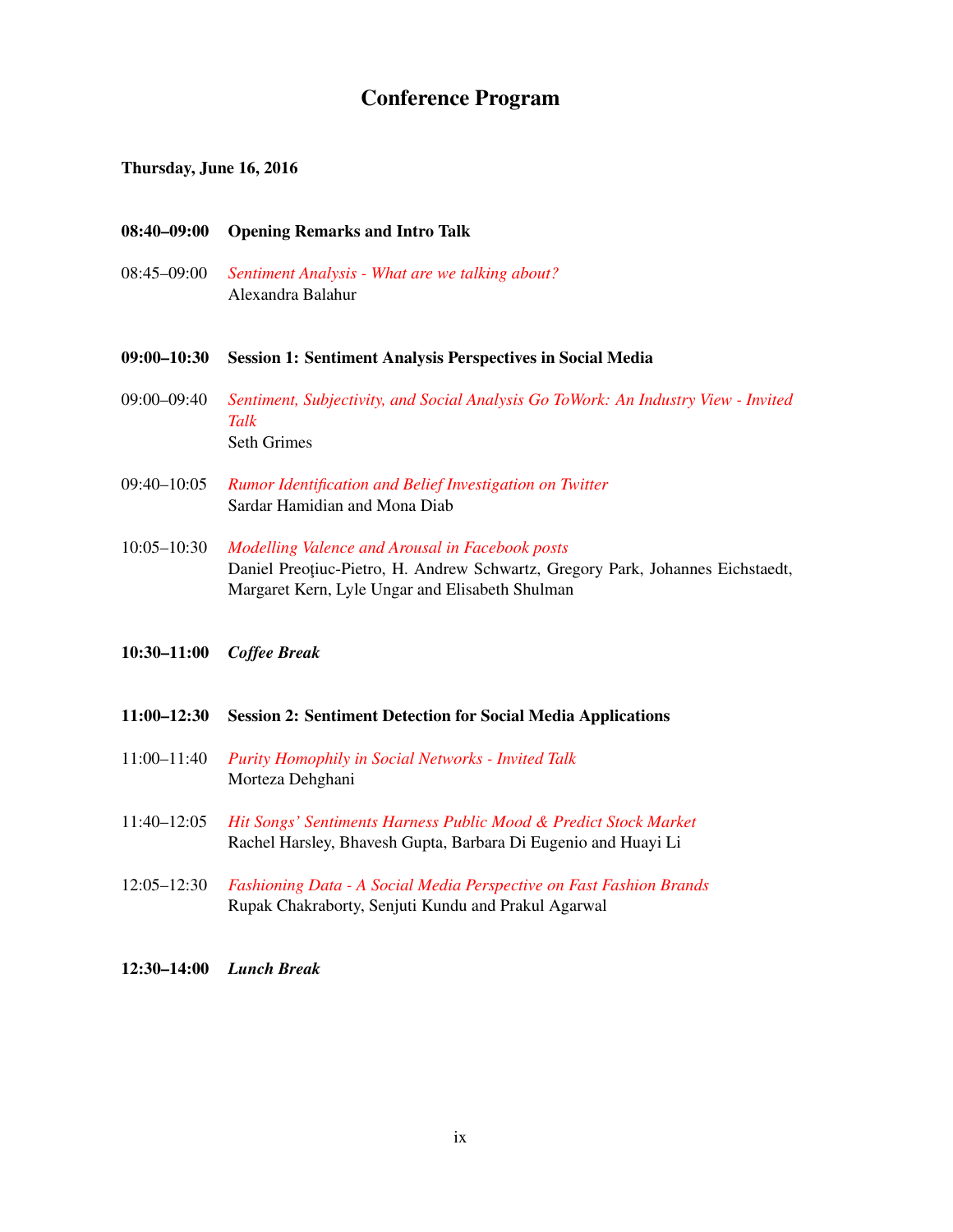## Conference Program

### Thursday, June 16, 2016

- 08:40–09:00 Opening Remarks and Intro Talk
- 08:45–09:00 *[Sentiment Analysis What are we talking about?](#page-0-0)* Alexandra Balahur
- 09:00–10:30 Session 1: Sentiment Analysis Perspectives in Social Media
- 09:00–09:40 *[Sentiment, Subjectivity, and Social Analysis Go ToWork: An Industry View Invited](#page-0-0) [Talk](#page-0-0)* Seth Grimes
- 09:40–10:05 *[Rumor Identification and Belief Investigation on Twitter](#page-0-0)* Sardar Hamidian and Mona Diab
- 10:05–10:30 *[Modelling Valence and Arousal in Facebook posts](#page-0-0)* Daniel Preoțiuc-Pietro, H. Andrew Schwartz, Gregory Park, Johannes Eichstaedt, Margaret Kern, Lyle Ungar and Elisabeth Shulman
- 10:30–11:00 *Coffee Break*
- 11:00–12:30 Session 2: Sentiment Detection for Social Media Applications
- 11:00–11:40 *[Purity Homophily in Social Networks Invited Talk](#page-0-0)* Morteza Dehghani
- 11:40–12:05 *[Hit Songs' Sentiments Harness Public Mood & Predict Stock Market](#page-0-0)* Rachel Harsley, Bhavesh Gupta, Barbara Di Eugenio and Huayi Li
- 12:05–12:30 *[Fashioning Data A Social Media Perspective on Fast Fashion Brands](#page-0-0)* Rupak Chakraborty, Senjuti Kundu and Prakul Agarwal
- 12:30–14:00 *Lunch Break*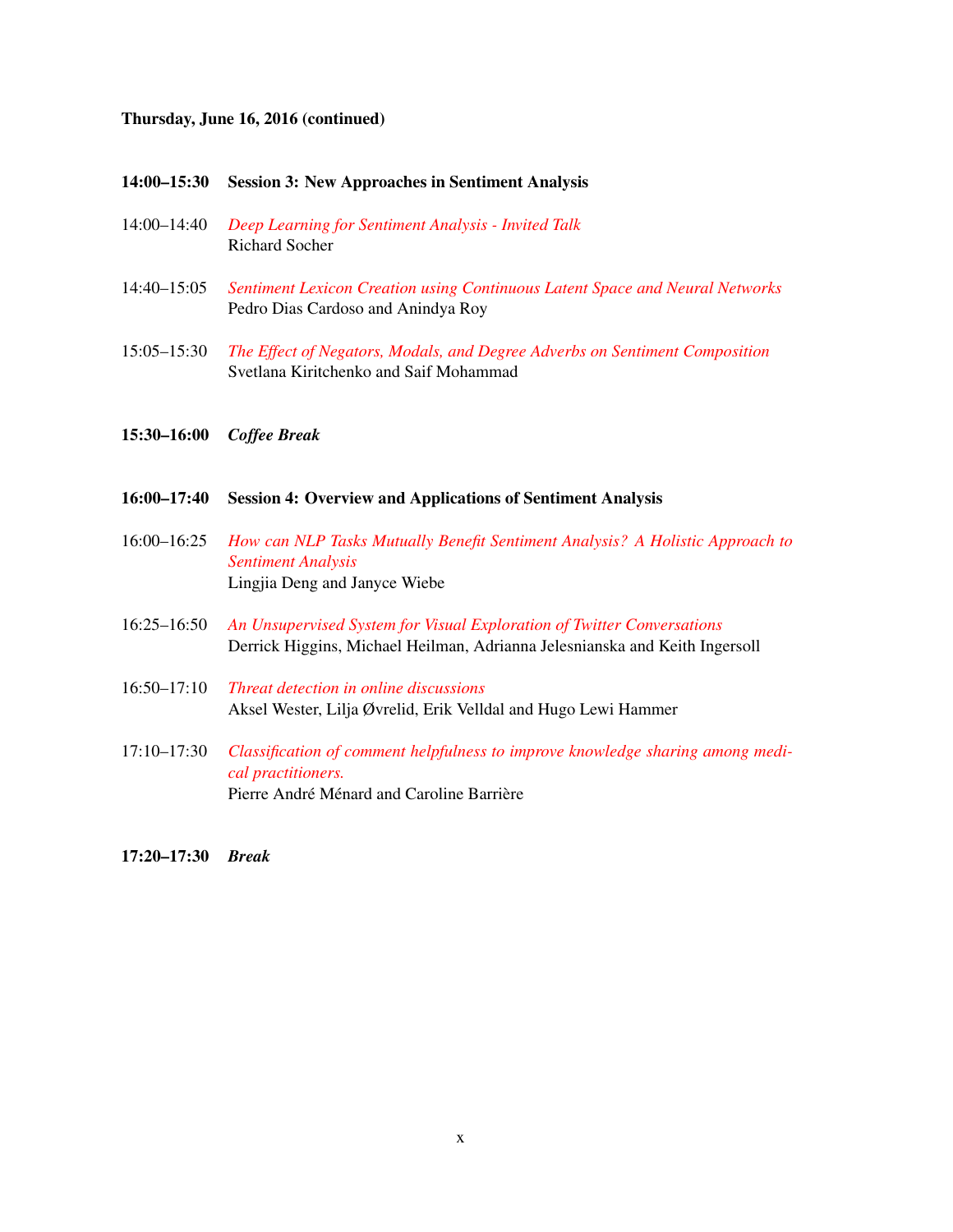### Thursday, June 16, 2016 (continued)

### 14:00–15:30 Session 3: New Approaches in Sentiment Analysis

- 14:00–14:40 *[Deep Learning for Sentiment Analysis Invited Talk](#page-0-0)* Richard Socher
- 14:40–15:05 *[Sentiment Lexicon Creation using Continuous Latent Space and Neural Networks](#page-0-0)* Pedro Dias Cardoso and Anindya Roy
- 15:05–15:30 *[The Effect of Negators, Modals, and Degree Adverbs on Sentiment Composition](#page-0-0)* Svetlana Kiritchenko and Saif Mohammad
- 15:30–16:00 *Coffee Break*
- 16:00–17:40 Session 4: Overview and Applications of Sentiment Analysis
- 16:00–16:25 *[How can NLP Tasks Mutually Benefit Sentiment Analysis? A Holistic Approach to](#page-0-0) [Sentiment Analysis](#page-0-0)* Lingjia Deng and Janyce Wiebe
- 16:25–16:50 *[An Unsupervised System for Visual Exploration of Twitter Conversations](#page-0-0)* Derrick Higgins, Michael Heilman, Adrianna Jelesnianska and Keith Ingersoll
- 16:50–17:10 *[Threat detection in online discussions](#page-0-0)* Aksel Wester, Lilja Øvrelid, Erik Velldal and Hugo Lewi Hammer
- 17:10–17:30 *[Classification of comment helpfulness to improve knowledge sharing among medi](#page-0-0)[cal practitioners.](#page-0-0)* Pierre André Ménard and Caroline Barrière
- 17:20–17:30 *Break*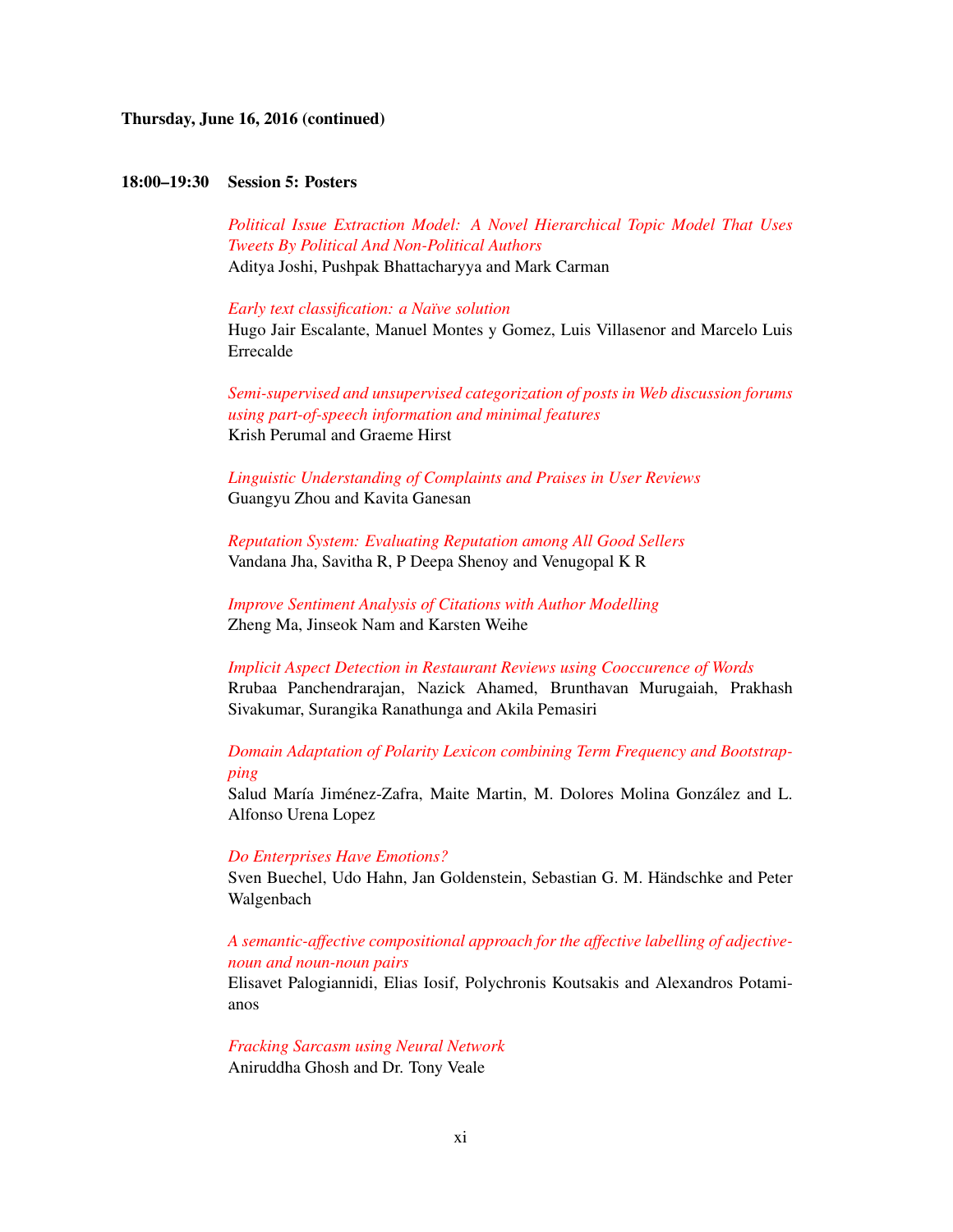Thursday, June 16, 2016 (continued)

### 18:00–19:30 Session 5: Posters

*[Political Issue Extraction Model: A Novel Hierarchical Topic Model That Uses](#page-0-0) [Tweets By Political And Non-Political Authors](#page-0-0)* Aditya Joshi, Pushpak Bhattacharyya and Mark Carman

*[Early text classification: a Naïve solution](#page-0-0)*

Hugo Jair Escalante, Manuel Montes y Gomez, Luis Villasenor and Marcelo Luis Errecalde

*[Semi-supervised and unsupervised categorization of posts in Web discussion forums](#page-0-0) [using part-of-speech information and minimal features](#page-0-0)* Krish Perumal and Graeme Hirst

*[Linguistic Understanding of Complaints and Praises in User Reviews](#page-0-0)* Guangyu Zhou and Kavita Ganesan

*[Reputation System: Evaluating Reputation among All Good Sellers](#page-0-0)* Vandana Jha, Savitha R, P Deepa Shenoy and Venugopal K R

*[Improve Sentiment Analysis of Citations with Author Modelling](#page-0-0)* Zheng Ma, Jinseok Nam and Karsten Weihe

*[Implicit Aspect Detection in Restaurant Reviews using Cooccurence of Words](#page-0-0)* Rrubaa Panchendrarajan, Nazick Ahamed, Brunthavan Murugaiah, Prakhash Sivakumar, Surangika Ranathunga and Akila Pemasiri

*[Domain Adaptation of Polarity Lexicon combining Term Frequency and Bootstrap](#page-0-0)[ping](#page-0-0)*

Salud María Jiménez-Zafra, Maite Martin, M. Dolores Molina González and L. Alfonso Urena Lopez

### *[Do Enterprises Have Emotions?](#page-0-0)*

Sven Buechel, Udo Hahn, Jan Goldenstein, Sebastian G. M. Händschke and Peter Walgenbach

### *[A semantic-affective compositional approach for the affective labelling of adjective](#page-0-0)[noun and noun-noun pairs](#page-0-0)*

Elisavet Palogiannidi, Elias Iosif, Polychronis Koutsakis and Alexandros Potamianos

*[Fracking Sarcasm using Neural Network](#page-0-0)*

Aniruddha Ghosh and Dr. Tony Veale